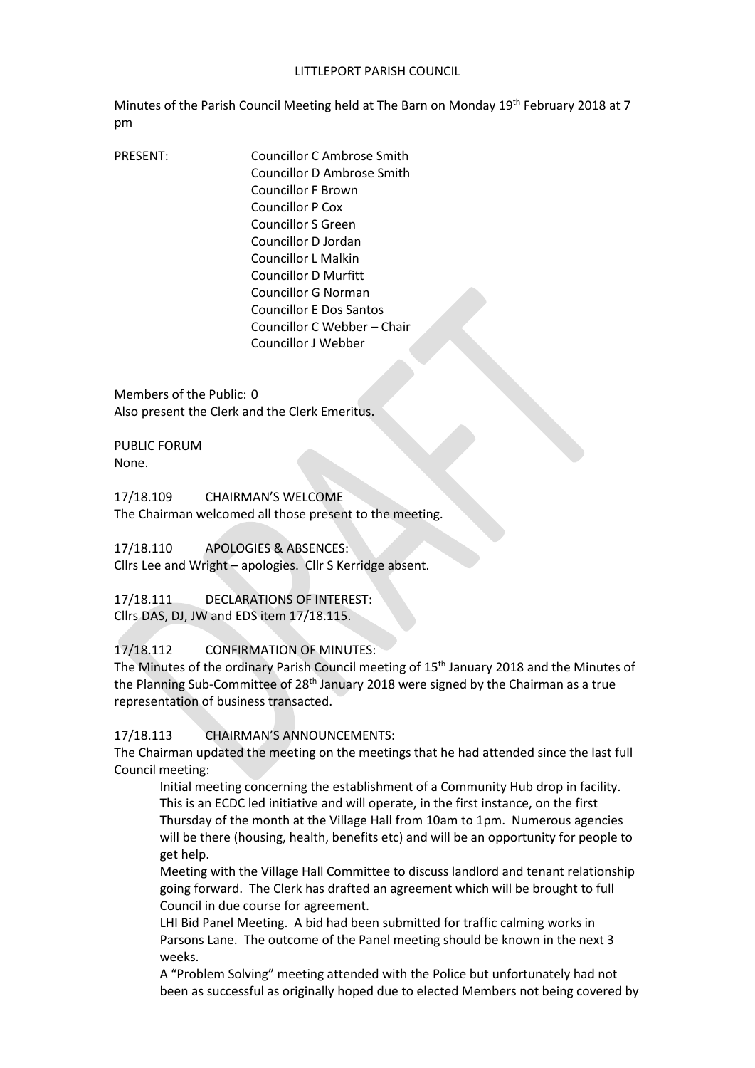#### LITTLEPORT PARISH COUNCIL

Minutes of the Parish Council Meeting held at The Barn on Monday 19th February 2018 at 7 pm

PRESENT: Councillor C Ambrose Smith Councillor D Ambrose Smith Councillor F Brown Councillor P Cox Councillor S Green Councillor D Jordan Councillor L Malkin Councillor D Murfitt Councillor G Norman Councillor E Dos Santos Councillor C Webber – Chair Councillor J Webber

Members of the Public: 0 Also present the Clerk and the Clerk Emeritus.

PUBLIC FORUM None.

17/18.109 CHAIRMAN'S WELCOME The Chairman welcomed all those present to the meeting.

17/18.110 APOLOGIES & ABSENCES:

Cllrs Lee and Wright – apologies. Cllr S Kerridge absent.

17/18.111 DECLARATIONS OF INTEREST: Cllrs DAS, DJ, JW and EDS item 17/18.115.

17/18.112 CONFIRMATION OF MINUTES:

The Minutes of the ordinary Parish Council meeting of 15<sup>th</sup> January 2018 and the Minutes of the Planning Sub-Committee of 28<sup>th</sup> January 2018 were signed by the Chairman as a true representation of business transacted.

17/18.113 CHAIRMAN'S ANNOUNCEMENTS:

The Chairman updated the meeting on the meetings that he had attended since the last full Council meeting:

Initial meeting concerning the establishment of a Community Hub drop in facility. This is an ECDC led initiative and will operate, in the first instance, on the first Thursday of the month at the Village Hall from 10am to 1pm. Numerous agencies will be there (housing, health, benefits etc) and will be an opportunity for people to get help.

Meeting with the Village Hall Committee to discuss landlord and tenant relationship going forward. The Clerk has drafted an agreement which will be brought to full Council in due course for agreement.

LHI Bid Panel Meeting. A bid had been submitted for traffic calming works in Parsons Lane. The outcome of the Panel meeting should be known in the next 3 weeks.

A "Problem Solving" meeting attended with the Police but unfortunately had not been as successful as originally hoped due to elected Members not being covered by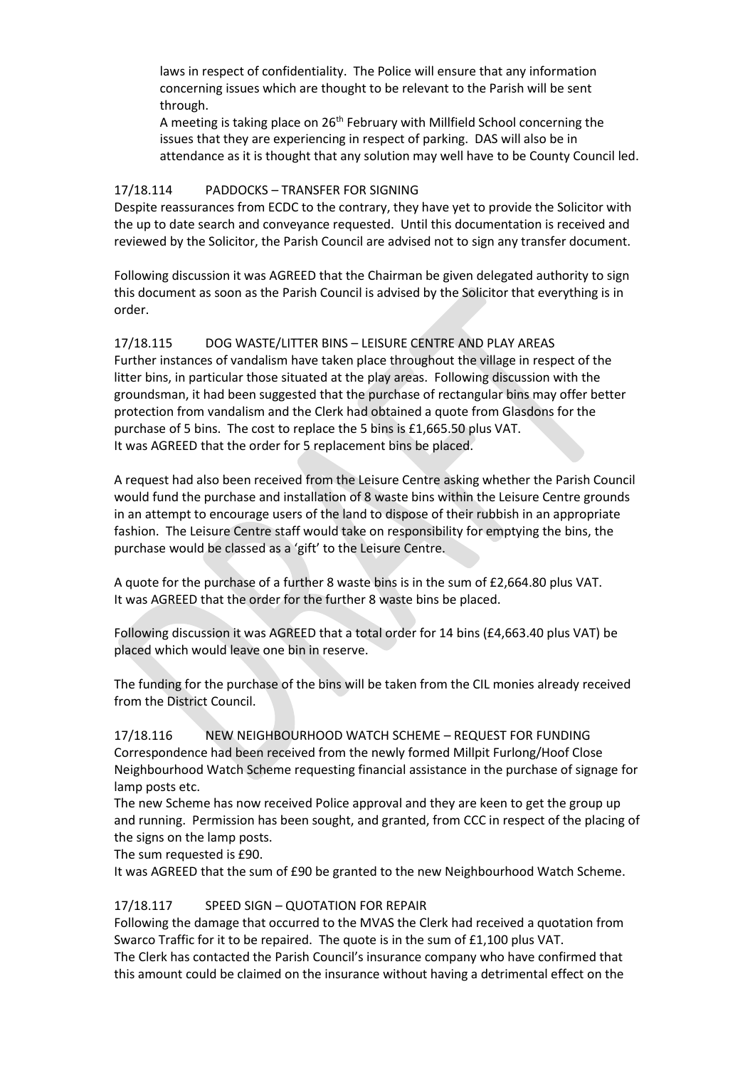laws in respect of confidentiality. The Police will ensure that any information concerning issues which are thought to be relevant to the Parish will be sent through.

A meeting is taking place on  $26<sup>th</sup>$  February with Millfield School concerning the issues that they are experiencing in respect of parking. DAS will also be in attendance as it is thought that any solution may well have to be County Council led.

### 17/18.114 PADDOCKS – TRANSFER FOR SIGNING

Despite reassurances from ECDC to the contrary, they have yet to provide the Solicitor with the up to date search and conveyance requested. Until this documentation is received and reviewed by the Solicitor, the Parish Council are advised not to sign any transfer document.

Following discussion it was AGREED that the Chairman be given delegated authority to sign this document as soon as the Parish Council is advised by the Solicitor that everything is in order.

# 17/18.115 DOG WASTE/LITTER BINS – LEISURE CENTRE AND PLAY AREAS

Further instances of vandalism have taken place throughout the village in respect of the litter bins, in particular those situated at the play areas. Following discussion with the groundsman, it had been suggested that the purchase of rectangular bins may offer better protection from vandalism and the Clerk had obtained a quote from Glasdons for the purchase of 5 bins. The cost to replace the 5 bins is £1,665.50 plus VAT. It was AGREED that the order for 5 replacement bins be placed.

A request had also been received from the Leisure Centre asking whether the Parish Council would fund the purchase and installation of 8 waste bins within the Leisure Centre grounds in an attempt to encourage users of the land to dispose of their rubbish in an appropriate fashion. The Leisure Centre staff would take on responsibility for emptying the bins, the purchase would be classed as a 'gift' to the Leisure Centre.

A quote for the purchase of a further 8 waste bins is in the sum of £2,664.80 plus VAT. It was AGREED that the order for the further 8 waste bins be placed.

Following discussion it was AGREED that a total order for 14 bins (£4,663.40 plus VAT) be placed which would leave one bin in reserve.

The funding for the purchase of the bins will be taken from the CIL monies already received from the District Council.

# 17/18.116 NEW NEIGHBOURHOOD WATCH SCHEME – REQUEST FOR FUNDING Correspondence had been received from the newly formed Millpit Furlong/Hoof Close Neighbourhood Watch Scheme requesting financial assistance in the purchase of signage for lamp posts etc.

The new Scheme has now received Police approval and they are keen to get the group up and running. Permission has been sought, and granted, from CCC in respect of the placing of the signs on the lamp posts.

The sum requested is £90.

It was AGREED that the sum of £90 be granted to the new Neighbourhood Watch Scheme.

# 17/18.117 SPEED SIGN – QUOTATION FOR REPAIR

Following the damage that occurred to the MVAS the Clerk had received a quotation from Swarco Traffic for it to be repaired. The quote is in the sum of £1,100 plus VAT.

The Clerk has contacted the Parish Council's insurance company who have confirmed that this amount could be claimed on the insurance without having a detrimental effect on the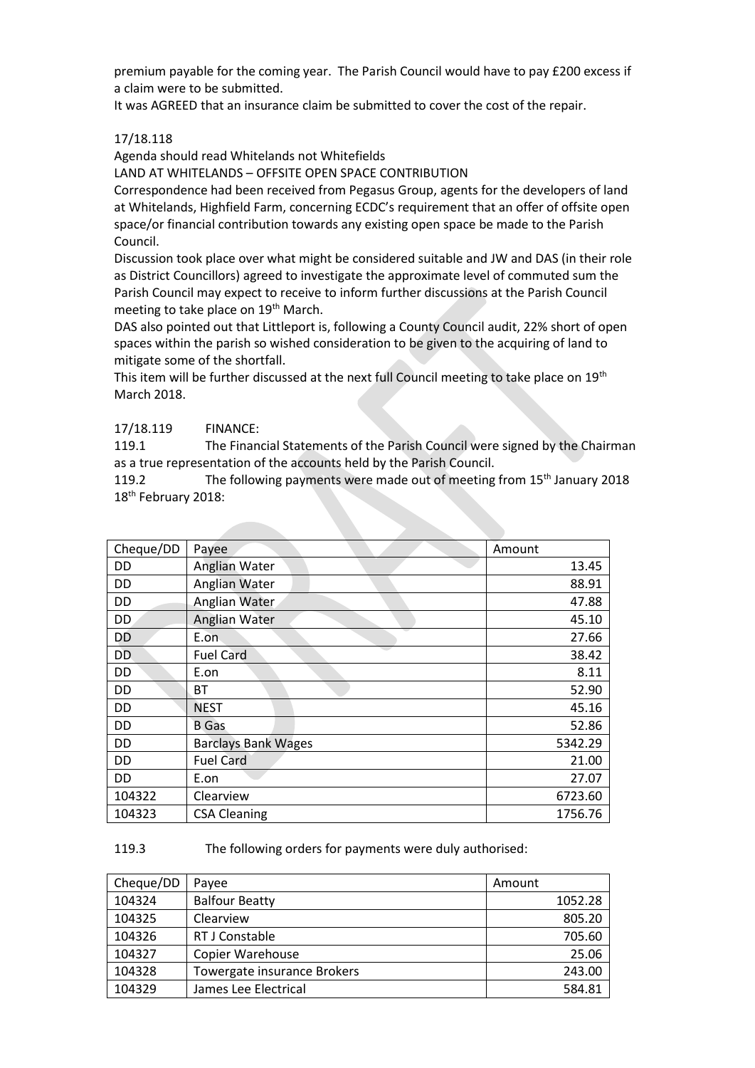premium payable for the coming year. The Parish Council would have to pay £200 excess if a claim were to be submitted.

It was AGREED that an insurance claim be submitted to cover the cost of the repair.

### 17/18.118

Agenda should read Whitelands not Whitefields

LAND AT WHITELANDS – OFFSITE OPEN SPACE CONTRIBUTION

Correspondence had been received from Pegasus Group, agents for the developers of land at Whitelands, Highfield Farm, concerning ECDC's requirement that an offer of offsite open space/or financial contribution towards any existing open space be made to the Parish Council.

Discussion took place over what might be considered suitable and JW and DAS (in their role as District Councillors) agreed to investigate the approximate level of commuted sum the Parish Council may expect to receive to inform further discussions at the Parish Council meeting to take place on 19<sup>th</sup> March.

DAS also pointed out that Littleport is, following a County Council audit, 22% short of open spaces within the parish so wished consideration to be given to the acquiring of land to mitigate some of the shortfall.

This item will be further discussed at the next full Council meeting to take place on 19<sup>th</sup> March 2018.

### 17/18.119 FINANCE:

119.1 The Financial Statements of the Parish Council were signed by the Chairman as a true representation of the accounts held by the Parish Council.

119.2 The following payments were made out of meeting from 15<sup>th</sup> January 2018 18<sup>th</sup> February 2018:

| Cheque/DD | Payee                      | Amount  |
|-----------|----------------------------|---------|
| DD        | <b>Anglian Water</b>       | 13.45   |
| DD        | Anglian Water              | 88.91   |
| DD        | Anglian Water              | 47.88   |
| DD        | Anglian Water              | 45.10   |
| DD        | E.on                       | 27.66   |
| DD        | <b>Fuel Card</b>           | 38.42   |
| DD        | E.on                       | 8.11    |
| DD        | <b>BT</b>                  | 52.90   |
| DD        | <b>NEST</b>                | 45.16   |
| DD        | <b>B</b> Gas               | 52.86   |
| DD        | <b>Barclays Bank Wages</b> | 5342.29 |
| DD        | <b>Fuel Card</b>           | 21.00   |
| DD        | E.on                       | 27.07   |
| 104322    | Clearview                  | 6723.60 |
| 104323    | <b>CSA Cleaning</b>        | 1756.76 |

#### 119.3 The following orders for payments were duly authorised:

| Cheque/DD | Payee                       | Amount  |
|-----------|-----------------------------|---------|
| 104324    | <b>Balfour Beatty</b>       | 1052.28 |
| 104325    | Clearview                   | 805.20  |
| 104326    | RT J Constable              | 705.60  |
| 104327    | <b>Copier Warehouse</b>     | 25.06   |
| 104328    | Towergate insurance Brokers | 243.00  |
| 104329    | James Lee Electrical        | 584.81  |